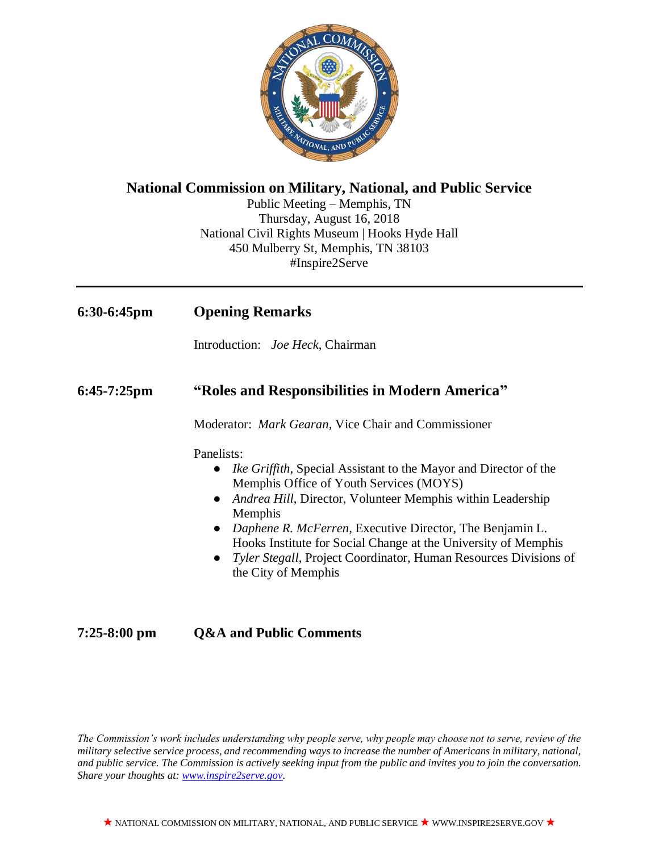

## **National Commission on Military, National, and Public Service**

Public Meeting – Memphis, TN Thursday, August 16, 2018 National Civil Rights Museum | Hooks Hyde Hall 450 Mulberry St, Memphis, TN 38103 #Inspire2Serve

| $6:30-6:45$ pm | <b>Opening Remarks</b>                                                                                                                                                                                                                                                                                                                                                                                                                                       |
|----------------|--------------------------------------------------------------------------------------------------------------------------------------------------------------------------------------------------------------------------------------------------------------------------------------------------------------------------------------------------------------------------------------------------------------------------------------------------------------|
|                | Introduction: <i>Joe Heck</i> , Chairman                                                                                                                                                                                                                                                                                                                                                                                                                     |
| $6:45-7:25$ pm | "Roles and Responsibilities in Modern America"                                                                                                                                                                                                                                                                                                                                                                                                               |
|                | Moderator: Mark Gearan, Vice Chair and Commissioner                                                                                                                                                                                                                                                                                                                                                                                                          |
|                | Panelists:<br><i>Ike Griffith</i> , Special Assistant to the Mayor and Director of the<br>$\bullet$<br>Memphis Office of Youth Services (MOYS)<br><i>Andrea Hill</i> , Director, Volunteer Memphis within Leadership<br>Memphis<br>• Daphene R. McFerren, Executive Director, The Benjamin L.<br>Hooks Institute for Social Change at the University of Memphis<br>• Tyler Stegall, Project Coordinator, Human Resources Divisions of<br>the City of Memphis |

# **7:25-8:00 pm Q&A and Public Comments**

*The Commission's work includes understanding why people serve, why people may choose not to serve, review of the military selective service process, and recommending ways to increase the number of Americans in military, national, and public service. The Commission is actively seeking input from the public and invites you to join the conversation. Share your thoughts at: [www.inspire2serve.gov.](http://www.inspire2serve.gov/)*